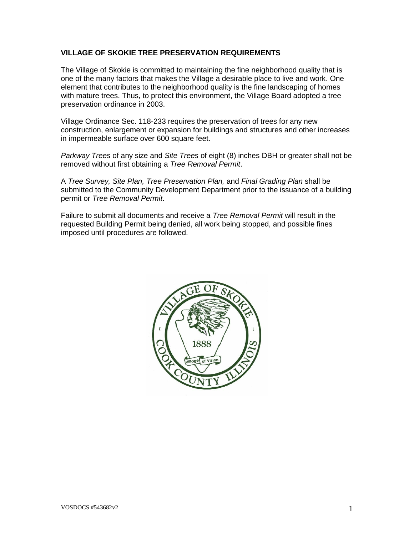### **VILLAGE OF SKOKIE TREE PRESERVATION REQUIREMENTS**

The Village of Skokie is committed to maintaining the fine neighborhood quality that is one of the many factors that makes the Village a desirable place to live and work. One element that contributes to the neighborhood quality is the fine landscaping of homes with mature trees. Thus, to protect this environment, the Village Board adopted a tree preservation ordinance in 2003.

Village Ordinance Sec. 118-233 requires the preservation of trees for any new construction, enlargement or expansion for buildings and structures and other increases in impermeable surface over 600 square feet.

*Parkway Trees* of any size and *Site Trees* of eight (8) inches DBH or greater shall not be removed without first obtaining a *Tree Removal Permit*.

A *Tree Survey, Site Plan, Tree Preservation Plan,* and *Final Grading Plan* shall be submitted to the Community Development Department prior to the issuance of a building permit or *Tree Removal Permit*.

Failure to submit all documents and receive a *Tree Removal Permit* will result in the requested Building Permit being denied, all work being stopped, and possible fines imposed until procedures are followed.

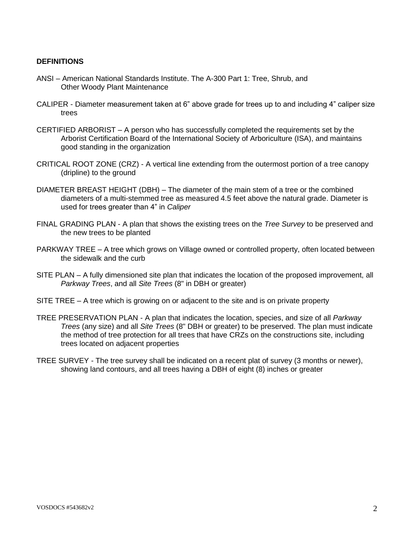#### **DEFINITIONS**

- ANSI American National Standards Institute. The A-300 Part 1: Tree, Shrub, and Other Woody Plant Maintenance
- CALIPER Diameter measurement taken at 6" above grade for trees up to and including 4" caliper size trees
- CERTIFIED ARBORIST A person who has successfully completed the requirements set by the Arborist Certification Board of the International Society of Arboriculture (ISA), and maintains good standing in the organization
- CRITICAL ROOT ZONE (CRZ) A vertical line extending from the outermost portion of a tree canopy (dripline) to the ground
- DIAMETER BREAST HEIGHT (DBH) The diameter of the main stem of a tree or the combined diameters of a multi-stemmed tree as measured 4.5 feet above the natural grade. Diameter is used for trees greater than 4" in *Caliper*
- FINAL GRADING PLAN A plan that shows the existing trees on the *Tree Survey* to be preserved and the new trees to be planted
- PARKWAY TREE A tree which grows on Village owned or controlled property, often located between the sidewalk and the curb
- SITE PLAN A fully dimensioned site plan that indicates the location of the proposed improvement, all *Parkway Trees*, and all *Site Trees* (8" in DBH or greater)
- SITE TREE A tree which is growing on or adjacent to the site and is on private property
- TREE PRESERVATION PLAN A plan that indicates the location, species, and size of all *Parkway Trees* (any size) and all *Site Trees* (8" DBH or greater) to be preserved. The plan must indicate the method of tree protection for all trees that have CRZs on the constructions site, including trees located on adjacent properties
- TREE SURVEY The tree survey shall be indicated on a recent plat of survey (3 months or newer), showing land contours, and all trees having a DBH of eight (8) inches or greater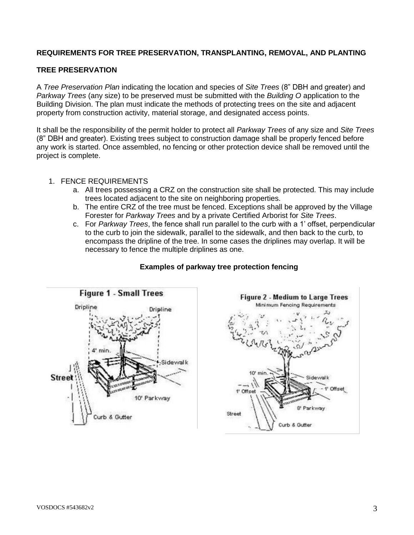## **REQUIREMENTS FOR TREE PRESERVATION, TRANSPLANTING, REMOVAL, AND PLANTING**

### **TREE PRESERVATION**

A *Tree Preservation Plan* indicating the location and species of *Site Trees* (8" DBH and greater) and *Parkway Trees* (any size) to be preserved must be submitted with the *Building O* application to the Building Division. The plan must indicate the methods of protecting trees on the site and adjacent property from construction activity, material storage, and designated access points.

It shall be the responsibility of the permit holder to protect all *Parkway Trees* of any size and *Site Trees* (8" DBH and greater). Existing trees subject to construction damage shall be properly fenced before any work is started. Once assembled, no fencing or other protection device shall be removed until the project is complete.

- 1. FENCE REQUIREMENTS
	- a. All trees possessing a CRZ on the construction site shall be protected. This may include trees located adjacent to the site on neighboring properties.
	- b. The entire CRZ of the tree must be fenced. Exceptions shall be approved by the Village Forester for *Parkway Trees* and by a private Certified Arborist for *Site Trees*.
	- c. For *Parkway Trees*, the fence shall run parallel to the curb with a 1' offset, perpendicular to the curb to join the sidewalk, parallel to the sidewalk, and then back to the curb, to encompass the dripline of the tree. In some cases the driplines may overlap. It will be necessary to fence the multiple driplines as one.



## **Examples of parkway tree protection fencing**

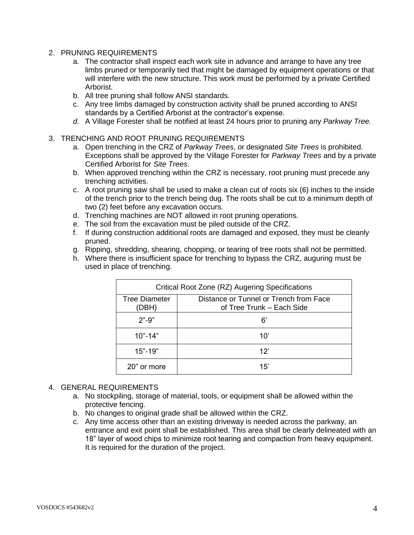- 2. PRUNING REQUIREMENTS
	- a. The contractor shall inspect each work site in advance and arrange to have any tree limbs pruned or temporarily tied that might be damaged by equipment operations or that will interfere with the new structure. This work must be performed by a private Certified Arborist.
	- b. All tree pruning shall follow ANSI standards.
	- c. Any tree limbs damaged by construction activity shall be pruned according to ANSI standards by a Certified Arborist at the contractor's expense.
	- *d.* A Village Forester shall be notified at least 24 hours prior to pruning any *Parkway Tree.*
- 3. TRENCHING AND ROOT PRUNING REQUIREMENTS
	- a. Open trenching in the CRZ of *Parkway Trees*, or designated *Site Trees* is prohibited. Exceptions shall be approved by the Village Forester for *Parkway Trees* and by a private Certified Arborist for *Site Trees*.
	- b. When approved trenching within the CRZ is necessary, root pruning must precede any trenching activities.
	- c. A root pruning saw shall be used to make a clean cut of roots six (6) inches to the inside of the trench prior to the trench being dug. The roots shall be cut to a minimum depth of two (2) feet before any excavation occurs.
	- d. Trenching machines are NOT allowed in root pruning operations.
	- e. The soil from the excavation must be piled outside of the CRZ.
	- f. If during construction additional roots are damaged and exposed, they must be cleanly pruned.
	- g. Ripping, shredding, shearing, chopping, or tearing of tree roots shall not be permitted.
	- h. Where there is insufficient space for trenching to bypass the CRZ, auguring must be used in place of trenching.

| Critical Root Zone (RZ) Augering Specifications |                                                                     |  |
|-------------------------------------------------|---------------------------------------------------------------------|--|
| Tree Diameter<br>(DBH)                          | Distance or Tunnel or Trench from Face<br>of Tree Trunk – Each Side |  |
| $2" - 9"$                                       | 6'                                                                  |  |
| $10" - 14"$                                     | $10^{\circ}$                                                        |  |
| $15 - 19$                                       | 12"                                                                 |  |
| 20" or more                                     | 15'                                                                 |  |

#### 4. GENERAL REQUIREMENTS

- a. No stockpiling, storage of material, tools, or equipment shall be allowed within the protective fencing.
- b. No changes to original grade shall be allowed within the CRZ.
- c. Any time access other than an existing driveway is needed across the parkway, an entrance and exit point shall be established. This area shall be clearly delineated with an 18" layer of wood chips to minimize root tearing and compaction from heavy equipment. It is required for the duration of the project.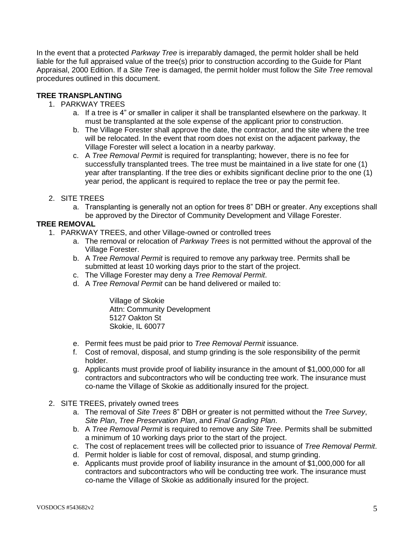In the event that a protected *Parkway Tree* is irreparably damaged, the permit holder shall be held liable for the full appraised value of the tree(s) prior to construction according to the Guide for Plant Appraisal, 2000 Edition. If a *Site Tree* is damaged, the permit holder must follow the *Site Tree* removal procedures outlined in this document.

## **TREE TRANSPLANTING**

- 1. PARKWAY TREES
	- a. If a tree is 4" or smaller in caliper it shall be transplanted elsewhere on the parkway. It must be transplanted at the sole expense of the applicant prior to construction.
	- b. The Village Forester shall approve the date, the contractor, and the site where the tree will be relocated. In the event that room does not exist on the adjacent parkway, the Village Forester will select a location in a nearby parkway.
	- c. A *Tree Removal Permit* is required for transplanting; however, there is no fee for successfully transplanted trees. The tree must be maintained in a live state for one (1) year after transplanting. If the tree dies or exhibits significant decline prior to the one (1) year period, the applicant is required to replace the tree or pay the permit fee.
- 2. SITE TREES
	- a. Transplanting is generally not an option for trees 8" DBH or greater. Any exceptions shall be approved by the Director of Community Development and Village Forester.

### **TREE REMOVAL**

- 1. PARKWAY TREES, and other Village-owned or controlled trees
	- a. The removal or relocation of *Parkway Trees* is not permitted without the approval of the Village Forester.
	- b. A *Tree Removal Permit* is required to remove any parkway tree. Permits shall be submitted at least 10 working days prior to the start of the project.
	- c. The Village Forester may deny a *Tree Removal Permit*.
	- d. A *Tree Removal Permit* can be hand delivered or mailed to:

Village of Skokie Attn: Community Development 5127 Oakton St Skokie, IL 60077

- e. Permit fees must be paid prior to *Tree Removal Permit* issuance.
- f. Cost of removal, disposal, and stump grinding is the sole responsibility of the permit holder.
- g. Applicants must provide proof of liability insurance in the amount of \$1,000,000 for all contractors and subcontractors who will be conducting tree work. The insurance must co-name the Village of Skokie as additionally insured for the project.
- 2. SITE TREES, privately owned trees
	- a. The removal of *Site Trees* 8" DBH or greater is not permitted without the *Tree Survey*, *Site Plan*, *Tree Preservation Plan*, and *Final Grading Plan*.
	- b. A *Tree Removal Permit* is required to remove any *Site Tree*. Permits shall be submitted a minimum of 10 working days prior to the start of the project.
	- c. The cost of replacement trees will be collected prior to issuance of *Tree Removal Permit*.
	- d. Permit holder is liable for cost of removal, disposal, and stump grinding.
	- e. Applicants must provide proof of liability insurance in the amount of \$1,000,000 for all contractors and subcontractors who will be conducting tree work. The insurance must co-name the Village of Skokie as additionally insured for the project.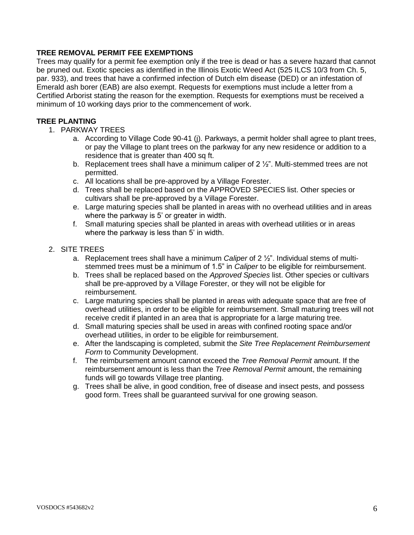## **TREE REMOVAL PERMIT FEE EXEMPTIONS**

Trees may qualify for a permit fee exemption only if the tree is dead or has a severe hazard that cannot be pruned out. Exotic species as identified in the Illinois Exotic Weed Act (525 ILCS 10/3 from Ch. 5, par. 933), and trees that have a confirmed infection of Dutch elm disease (DED) or an infestation of Emerald ash borer (EAB) are also exempt. Requests for exemptions must include a letter from a Certified Arborist stating the reason for the exemption. Requests for exemptions must be received a minimum of 10 working days prior to the commencement of work.

#### **TREE PLANTING**

- 1. PARKWAY TREES
	- a. According to Village Code 90-41 (j). Parkways, a permit holder shall agree to plant trees, or pay the Village to plant trees on the parkway for any new residence or addition to a residence that is greater than 400 sq ft.
	- b. Replacement trees shall have a minimum caliper of 2 ½". Multi-stemmed trees are not permitted.
	- c. All locations shall be pre-approved by a Village Forester.
	- d. Trees shall be replaced based on the APPROVED SPECIES list. Other species or cultivars shall be pre-approved by a Village Forester.
	- e. Large maturing species shall be planted in areas with no overhead utilities and in areas where the parkway is 5' or greater in width.
	- f. Small maturing species shall be planted in areas with overhead utilities or in areas where the parkway is less than 5' in width.

#### 2. SITE TREES

- a. Replacement trees shall have a minimum *Caliper* of 2 ½". Individual stems of multistemmed trees must be a minimum of 1.5" in *Caliper* to be eligible for reimbursement.
- b. Trees shall be replaced based on the *Approved Species* list. Other species or cultivars shall be pre-approved by a Village Forester, or they will not be eligible for reimbursement.
- c. Large maturing species shall be planted in areas with adequate space that are free of overhead utilities, in order to be eligible for reimbursement. Small maturing trees will not receive credit if planted in an area that is appropriate for a large maturing tree.
- d. Small maturing species shall be used in areas with confined rooting space and/or overhead utilities, in order to be eligible for reimbursement.
- e. After the landscaping is completed, submit the *Site Tree Replacement Reimbursement Form* to Community Development.
- f. The reimbursement amount cannot exceed the *Tree Removal Permit* amount. If the reimbursement amount is less than the *Tree Removal Permit* amount, the remaining funds will go towards Village tree planting.
- g. Trees shall be alive, in good condition, free of disease and insect pests, and possess good form. Trees shall be guaranteed survival for one growing season.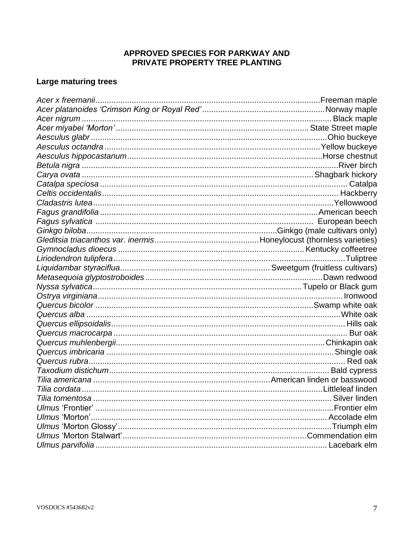## APPROVED SPECIES FOR PARKWAY AND PRIVATE PROPERTY TREE PLANTING

## Large maturing trees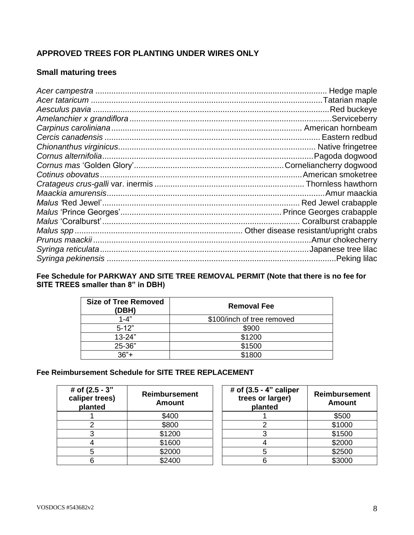## **APPROVED TREES FOR PLANTING UNDER WIRES ONLY**

## **Small maturing trees**

## **Fee Schedule for PARKWAY AND SITE TREE REMOVAL PERMIT (Note that there is no fee for SITE TREES smaller than 8" in DBH)**

| <b>Size of Tree Removed</b><br>(DBH) | <b>Removal Fee</b>         |  |
|--------------------------------------|----------------------------|--|
| $1 - 4"$                             | \$100/inch of tree removed |  |
| $5 - 12"$                            | \$900                      |  |
| $13 - 24"$                           | \$1200                     |  |
| 25-36"                               | \$1500                     |  |
| $36"$ +                              | \$1800                     |  |

## **Fee Reimbursement Schedule for SITE TREE REPLACEMENT**

| # of (2.5 - 3"<br>caliper trees)<br>planted | <b>Reimbursement</b><br><b>Amount</b> | # of $(3.5 - 4"$ caliper<br>trees or larger)<br>planted | <b>Reimbursement</b><br><b>Amount</b> |
|---------------------------------------------|---------------------------------------|---------------------------------------------------------|---------------------------------------|
|                                             | \$400                                 |                                                         | \$500                                 |
|                                             | \$800                                 |                                                         | \$1000                                |
|                                             | \$1200                                |                                                         | \$1500                                |
|                                             | \$1600                                |                                                         | \$2000                                |
|                                             | \$2000                                |                                                         | \$2500                                |
|                                             | \$2400                                |                                                         | \$3000                                |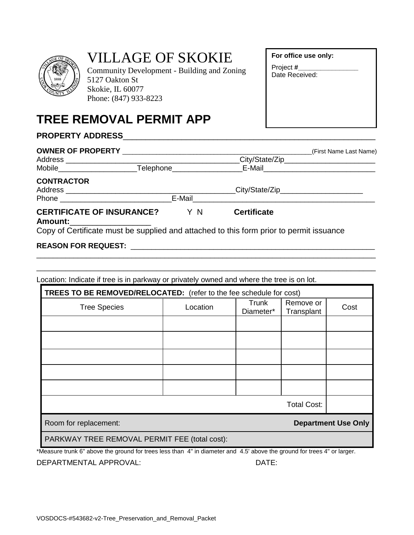

# VILLAGE OF SKOKIE

Community Development - Building and Zoning 5127 Oakton St Skokie, IL 60077 Phone: (847) 933-8223

## **TREE REMOVAL PERMIT APP**

## **PROPERTY ADDRESS**\_\_\_\_\_\_\_\_\_\_\_\_\_\_\_\_\_\_\_\_\_\_\_\_\_\_\_\_\_\_\_\_\_\_\_\_\_\_\_\_\_\_\_\_\_\_\_\_\_\_\_\_\_\_\_\_

|                                                    |        | (First Name Last Name)                                                                  |                                            |
|----------------------------------------------------|--------|-----------------------------------------------------------------------------------------|--------------------------------------------|
| Address ______________________                     |        |                                                                                         | _City/State/Zip___________________________ |
|                                                    |        |                                                                                         |                                            |
| <b>CONTRACTOR</b>                                  |        |                                                                                         |                                            |
|                                                    |        | __City/State/Zip________________________                                                |                                            |
| Phone <b>Example 2019</b>                          | E-Mail |                                                                                         |                                            |
| <b>CERTIFICATE OF INSURANCE?</b><br><b>Amount:</b> | Y N    | <b>Certificate</b>                                                                      |                                            |
|                                                    |        | Copy of Certificate must be supplied and attached to this form prior to permit issuance |                                            |

\_\_\_\_\_\_\_\_\_\_\_\_\_\_\_\_\_\_\_\_\_\_\_\_\_\_\_\_\_\_\_\_\_\_\_\_\_\_\_\_\_\_\_\_\_\_\_\_\_\_\_\_\_\_\_\_\_\_\_\_\_\_\_\_\_\_\_\_\_\_\_\_\_\_\_\_\_\_\_\_\_\_ \_\_\_\_\_\_\_\_\_\_\_\_\_\_\_\_\_\_\_\_\_\_\_\_\_\_\_\_\_\_\_\_\_\_\_\_\_\_\_\_\_\_\_\_\_\_\_\_\_\_\_\_\_\_\_\_\_\_\_\_\_\_\_\_\_\_\_\_\_\_\_\_\_\_\_\_\_\_\_\_\_\_

## **REASON FOR REQUEST:** \_\_\_\_\_\_\_\_\_\_\_\_\_\_\_\_\_\_\_\_\_\_\_\_\_\_\_\_\_\_\_\_\_\_\_\_\_\_\_\_\_\_\_\_\_\_\_\_\_\_\_\_\_\_\_\_\_\_\_

Location: Indicate if tree is in parkway or privately owned and where the tree is on lot.

| TREES TO BE REMOVED/RELOCATED: (refer to the fee schedule for cost) |          |                    |                         |      |
|---------------------------------------------------------------------|----------|--------------------|-------------------------|------|
| <b>Tree Species</b>                                                 | Location | Trunk<br>Diameter* | Remove or<br>Transplant | Cost |
|                                                                     |          |                    |                         |      |
|                                                                     |          |                    |                         |      |
|                                                                     |          |                    |                         |      |
|                                                                     |          |                    |                         |      |
|                                                                     |          |                    |                         |      |
| <b>Total Cost:</b>                                                  |          |                    |                         |      |
| Room for replacement:<br><b>Department Use Only</b>                 |          |                    |                         |      |
| PARKWAY TREE REMOVAL PERMIT FEE (total cost):                       |          |                    |                         |      |

\*Measure trunk 6" above the ground for trees less than 4" in diameter and 4.5' above the ground for trees 4" or larger.

DEPARTMENTAL APPROVAL: DATE:

**For office use only:**

| Project #      |  |
|----------------|--|
| Date Received: |  |